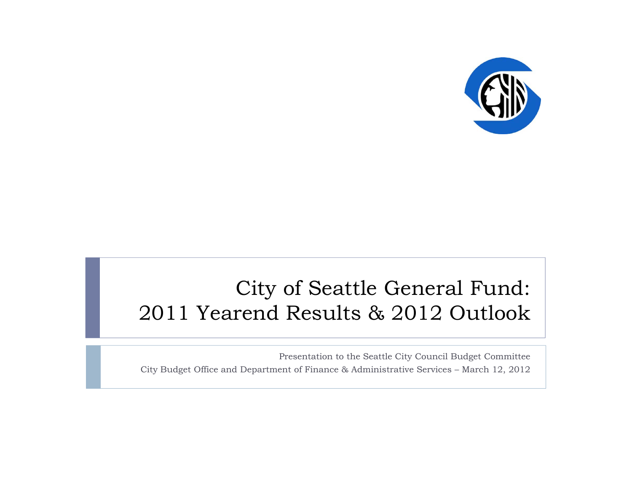

#### City of Seattle General Fund: 2011 Yearend Results & 2012 Outlook

Presentation to the Seattle City Council Budget Committee City Budget Office and Department of Finance & Administrative Services – March 12, 2012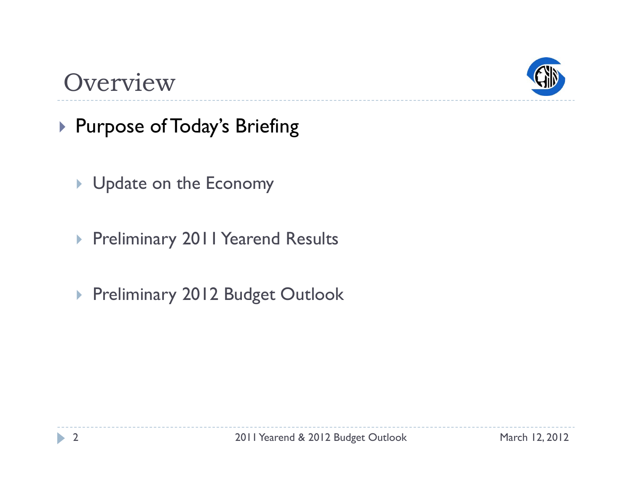

#### Overview

- ▶ Purpose of Today's Briefing
	- Update on the Economy
	- Preliminary 2011 Yearend Results
	- ▶ Preliminary 2012 Budget Outlook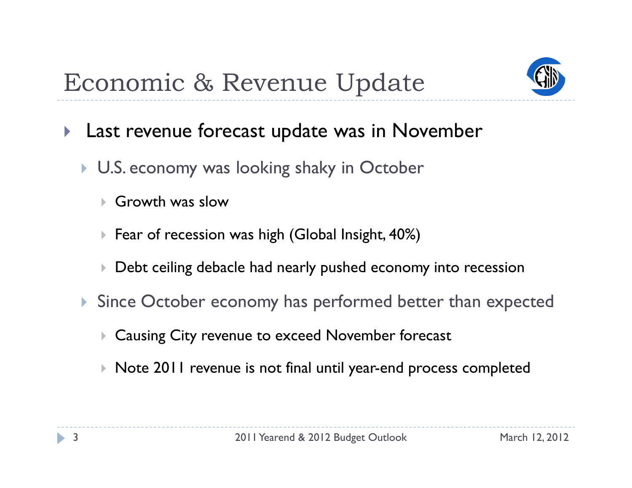

- $\blacktriangleright$  Last revenue forecast update was in November
	- **U.S. economy was looking shaky in October** 
		- $\blacktriangleright$ Growth was slow
		- $\blacktriangleright$  Fear of recession was high (Global Insight, 40%)
		- $\blacktriangleright$  $\blacktriangleright$  Debt ceiling debacle had nearly pushed economy into recession
	- **Since October economy has performed better than expected** 
		- $\blacktriangleright$ Causing City revenue to exceed November forecast
		- $\blacktriangleright$  Note 2011 revenue is not final until year-end process completed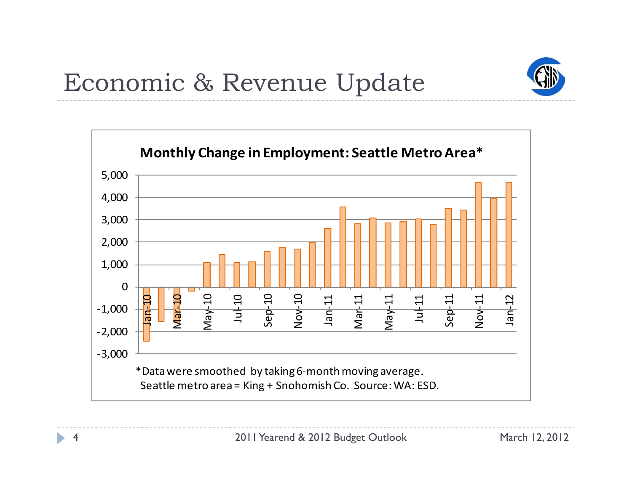

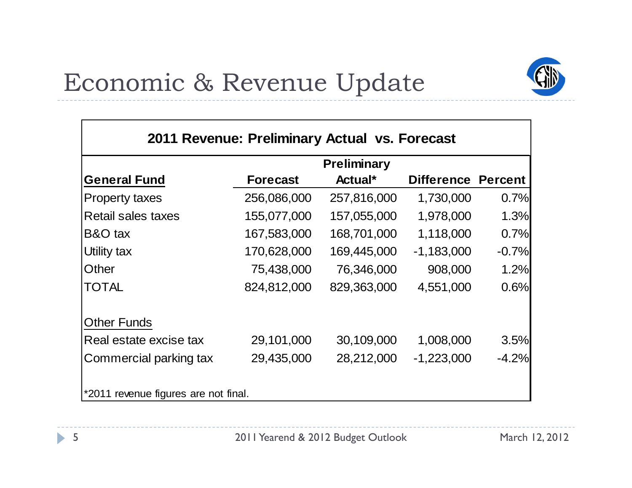

| 2011 Revenue: Preliminary Actual vs. Forecast |                    |             |                           |         |  |  |
|-----------------------------------------------|--------------------|-------------|---------------------------|---------|--|--|
|                                               | <b>Preliminary</b> |             |                           |         |  |  |
| <b>General Fund</b>                           | <b>Forecast</b>    | Actual*     | <b>Difference Percent</b> |         |  |  |
| <b>Property taxes</b>                         | 256,086,000        | 257,816,000 | 1,730,000                 | 0.7%    |  |  |
| <b>Retail sales taxes</b>                     | 155,077,000        | 157,055,000 | 1,978,000                 | 1.3%    |  |  |
| <b>B&amp;O</b> tax                            | 167,583,000        | 168,701,000 | 1,118,000                 | 0.7%    |  |  |
| Utility tax                                   | 170,628,000        | 169,445,000 | $-1,183,000$              | $-0.7%$ |  |  |
| <b>Other</b>                                  | 75,438,000         | 76,346,000  | 908,000                   | 1.2%    |  |  |
| <b>TOTAL</b>                                  | 824,812,000        | 829,363,000 | 4,551,000                 | 0.6%    |  |  |
| <b>Other Funds</b>                            |                    |             |                           |         |  |  |
| Real estate excise tax                        | 29,101,000         | 30,109,000  | 1,008,000                 | 3.5%    |  |  |
| Commercial parking tax                        | 29,435,000         | 28,212,000  | $-1,223,000$              | $-4.2%$ |  |  |
| *2011 revenue figures are not final.          |                    |             |                           |         |  |  |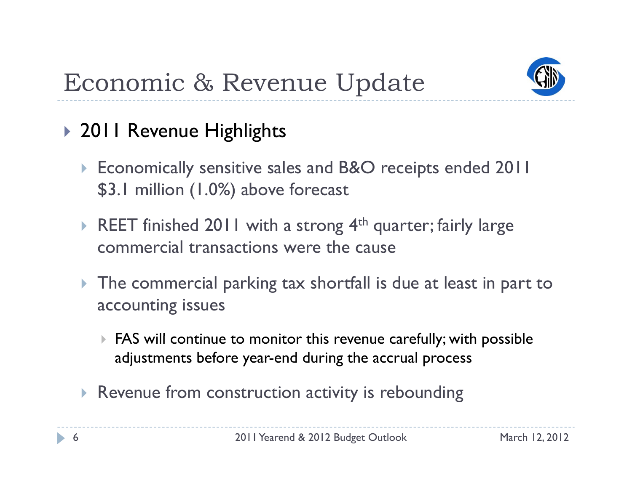

#### ▶ 2011 Revenue Highlights

- ▶ Economically sensitive sales and B&O receipts ended 2011 \$3.1 million (1.0%) above forecast
- REET finished 2011 with a strong  $4<sup>th</sup>$  quarter; fairly large commercial transactions were the cause
- $\blacktriangleright$  The commercial parking tax shortfall is due at least in part to accounting issues
	- $\blacktriangleright$  FAS will continue to monitor this revenue carefully; with possible adjustments before year-end during the accrual process
- **Revenue from construction activity is rebounding**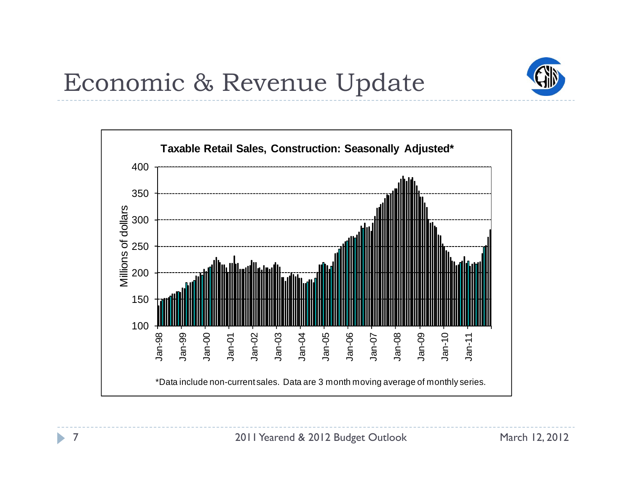

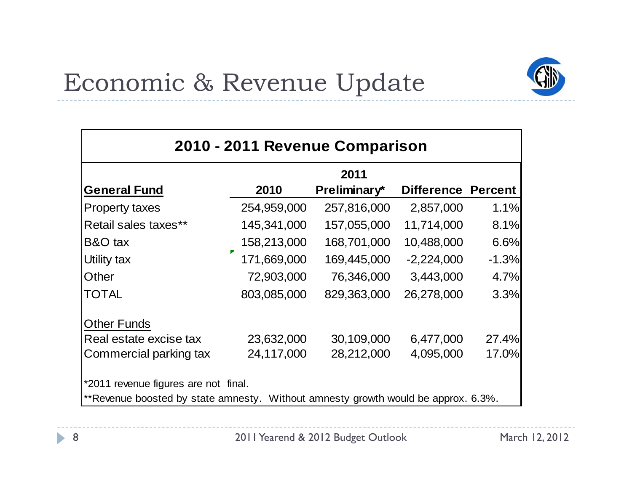

| 2010 - 2011 Revenue Comparison                                                    |             |              |                           |         |  |  |
|-----------------------------------------------------------------------------------|-------------|--------------|---------------------------|---------|--|--|
|                                                                                   | 2011        |              |                           |         |  |  |
| <b>General Fund</b>                                                               | 2010        | Preliminary* | <b>Difference Percent</b> |         |  |  |
| <b>Property taxes</b>                                                             | 254,959,000 | 257,816,000  | 2,857,000                 | 1.1%    |  |  |
| Retail sales taxes**                                                              | 145,341,000 | 157,055,000  | 11,714,000                | 8.1%    |  |  |
| B&O tax                                                                           | 158,213,000 | 168,701,000  | 10,488,000                | 6.6%    |  |  |
| <b>Utility tax</b>                                                                | 171,669,000 | 169,445,000  | $-2,224,000$              | $-1.3%$ |  |  |
| Other                                                                             | 72,903,000  | 76,346,000   | 3,443,000                 | 4.7%    |  |  |
| <b>TOTAL</b>                                                                      | 803,085,000 | 829,363,000  | 26,278,000                | 3.3%    |  |  |
| <b>Other Funds</b>                                                                |             |              |                           |         |  |  |
| Real estate excise tax                                                            | 23,632,000  | 30,109,000   | 6,477,000                 | 27.4%   |  |  |
| Commercial parking tax                                                            | 24,117,000  | 28,212,000   | 4,095,000                 | 17.0%   |  |  |
| *2011 revenue figures are not final.                                              |             |              |                           |         |  |  |
| **Revenue boosted by state amnesty. Without amnesty growth would be approx. 6.3%. |             |              |                           |         |  |  |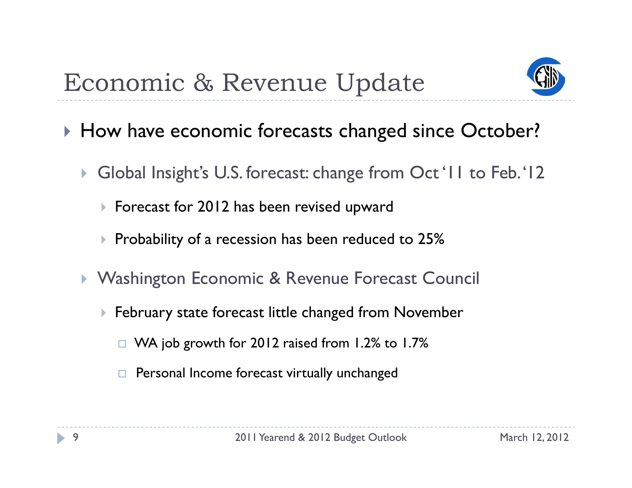

- ▶ How have economic forecasts changed since October?
	- $\blacktriangleright$  Global Insight's U.S. forecast: change from Oct '11 to Feb. '12
		- Forecast for 2012 has been revised u pward
		- $\blacktriangleright$  Probability of a recession has been reduced to 25%
	- $\blacktriangleright$ **• Washington Economic & Revenue Forecast Council** 
		- $\blacktriangleright$  February state forecast little changed from November
			- $\Box~$  WA job growth for 2012 raised from 1.2% to 1.7%
			- $\Box$ Personal Income forecast virtually unchanged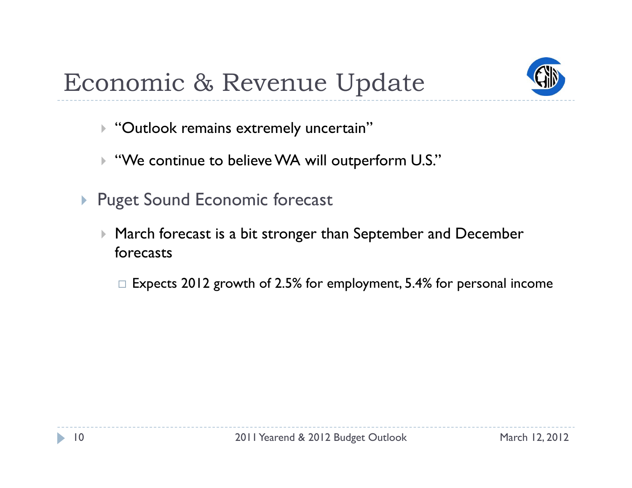

- $\blacktriangleright$  "Outlook remains extremely uncertain"
- $\blacktriangleright$ "We continue to believe WA will outperform U.S."
- **Puget Sound Economic forecast** 
	- $\mathbf{F}$  March forecast is a bit stronger than September and December forecasts
		- $\Box$  Expects 2012 growth of 2.5% for employment, 5.4% for personal income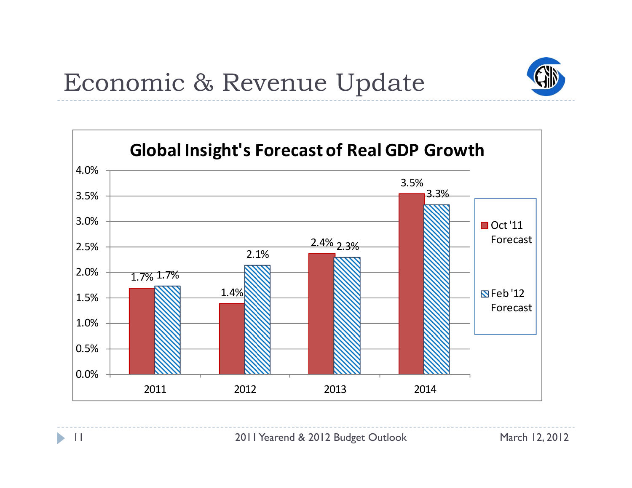

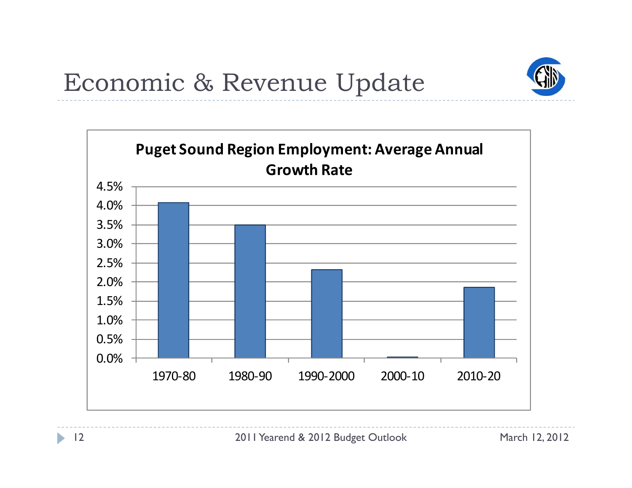

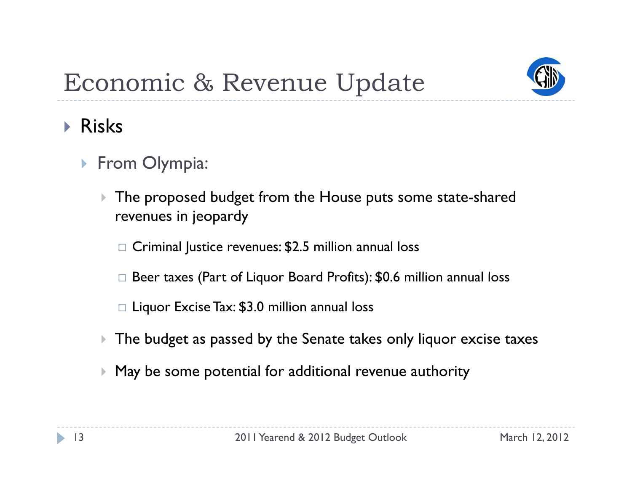

- Risks
	- **From Olympia:** 
		- $\blacktriangleright$  The proposed budget from the House puts some state-shared revenues in jeopardy
			- $\Box$  Criminal Justice revenues: \$2.5 million annual loss
			- $\Box$  Beer taxes (Part of Liquor Board Profits): \$0.6 million annual loss
			- $\Box$  Liquor Excise Tax: \$3.0 million annual loss
		- $\blacktriangleright$  $\triangleright$  The budget as passed by the Senate takes only liquor excise taxes
		- $\blacktriangleright$ May be some potential for additional revenue authority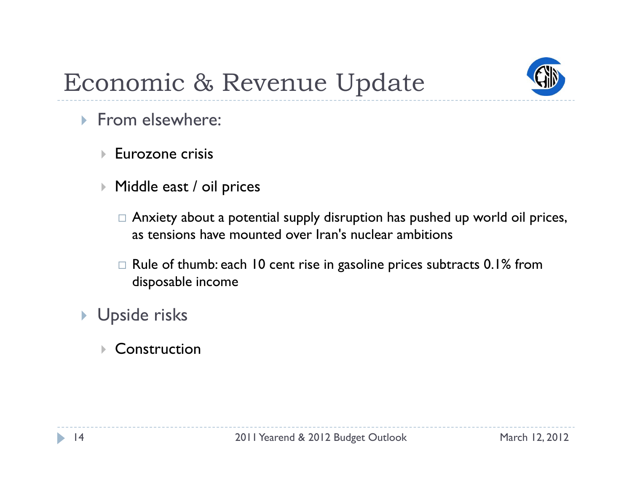

- **From elsewhere:** 
	- $\blacktriangleright$ Eurozone crisis
	- $\blacktriangleright$  Middle east / oil prices
		- $\Box$  Anxiety about a potential supply disruption has pushed up world oil prices, as tensions have mounted over Iran's nuclear ambitions
		- $\Box$  Rule of thumb: each 10 cent rise in gasoline prices subtracts 0.1% from disposable income
- ▶ Upside risks
	- $\blacktriangleright$ Construction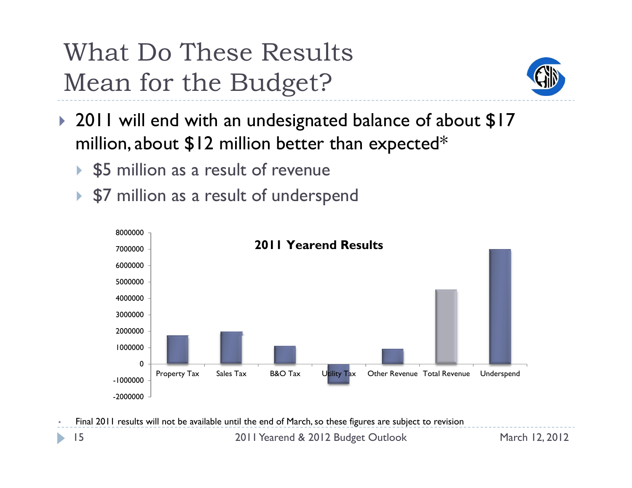# What Do These Results Mean for the Budget?



- 2011 will end with an undesignated balance of about \$17 million, about  $\$$ 12 million better than expected $^*$ 
	- ▶ \$5 million as a result of revenue
	- $\blacktriangleright$ \$7 million as a result of underspend



•Final 2011 results will not be available until the end of March, so these figures are subject to revision

2011 Yearend & 2012 Budget Outlook March 12, 2012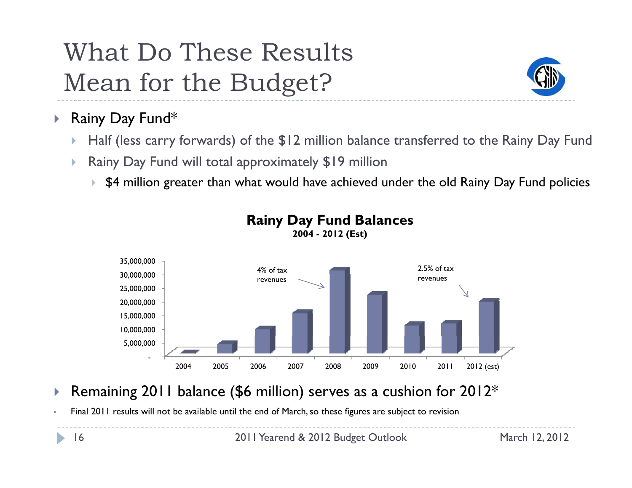# What Do These Results Mean for the Budget?



- $\blacktriangleright$  Rainy Day Fund\*
	- b Half (less carry forwards) of the \$12 million balance transferred to the Rainy Day Fund
	- b Rainy Day Fund will total approximately \$19 million
		- $\blacktriangleright$   $\,$  \$4 million greater than what would have achieved under the old Rainy Day Fund policies



#### **Rainy Day Fund Balances**

**2004 - 2012 (Est)**

- $\blacktriangleright$  $\blacktriangleright$  Remaining 2011 balance (\$6 million) serves as a cushion for 2012 $^*$
- •Final 2011 results will not be available until the end of March, so these figures are subject to revision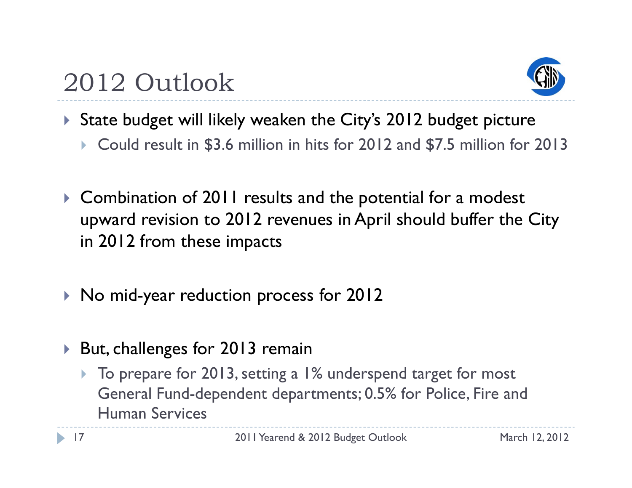



- State budget will likely weaken the City's 2012 budget picture
	- $\blacktriangleright$  Could result in \$3.6 million in hits for 2012 and \$7.5 million for 2013
- Combination of 2011 results and the potential for a modest upward revision to 2012 revenues in April should buffer the City in 2012 from these impacts
- $\blacktriangleright$  No mid-year reduction process for 2012
- $\blacktriangleright$  But, challenges for 2013 remain
	- ▶ To prepare for 2013, setting a 1% underspend target for most General Fund-dependent departments; 0.5% for Police, Fire and Human Services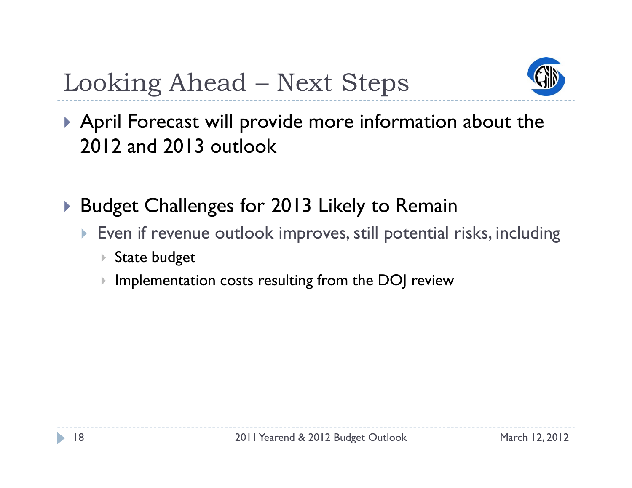

# Looking Ahead – Next Steps

 April Forecast will provide more information about the 2012 and 2013 outlook

- $\blacktriangleright$  Budget Challenges for 2013 Likely to Remain
	- Even if revenue outlook improves, still potential risks, including
		- ▶ State budget
		- $\blacktriangleright$ Implementation costs resulting from the DOJ review